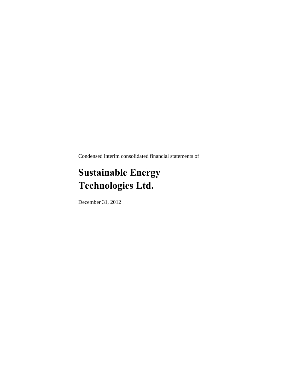Condensed interim consolidated financial statements of

## **Sustainable Energy Technologies Ltd.**

December 31, 2012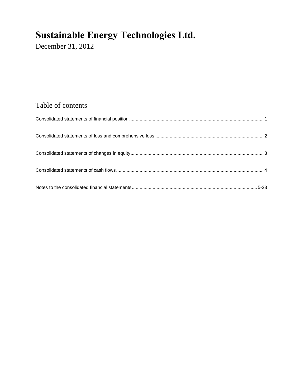December 31, 2012

### Table of contents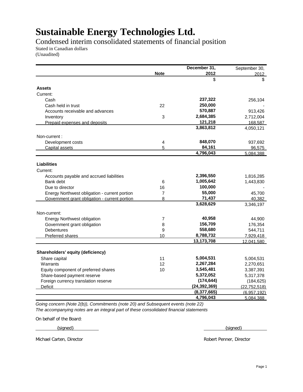Condensed interim consolidated statements of financial position

Stated in Canadian dollars

(Unaudited)

|                                               |                         | December 31,   | September 30,       |
|-----------------------------------------------|-------------------------|----------------|---------------------|
|                                               | <b>Note</b>             | 2012           | 2012                |
|                                               |                         | \$             | \$                  |
| <b>Assets</b>                                 |                         |                |                     |
| Current:                                      |                         |                |                     |
| Cash                                          |                         | 237,322        | 256,104             |
| Cash held in trust                            | 22                      | 250,000        |                     |
| Accounts receivable and advances              |                         | 570,887        | 913,426             |
| Inventory                                     | 3                       | 2,684,385      | 2,712,004           |
| Prepaid expenses and deposits                 |                         | 121,218        | 168,587             |
|                                               |                         | 3,863,812      | 4,050,121           |
| Non-current:                                  |                         |                |                     |
| Development costs                             | $\overline{\mathbf{4}}$ | 848,070        | 937,692             |
| Capital assets                                | 5                       | 84,161         | 96,575              |
|                                               |                         | 4,796,043      | 5.084.388           |
|                                               |                         |                |                     |
| <b>Liabilities</b><br>Current:                |                         |                |                     |
| Accounts payable and accrued liabilities      |                         | 2,396,550      | 1,816,285           |
| Bank debt                                     | 6                       | 1,005,642      | 1,443,830           |
|                                               | 16                      | 100,000        |                     |
| Due to director                               | 7                       | 55,000         |                     |
| Energy Northwest obligation - current portion | 8                       | 71,437         | 45,700              |
| Government grant obligation - current portion |                         | 3,628,629      | 40,382<br>3,346,197 |
|                                               |                         |                |                     |
| Non-current:                                  |                         |                |                     |
| <b>Energy Northwest obligation</b>            | 7                       | 40,958         | 44,900              |
| Government grant obligation                   | 8                       | 156,709        | 176,354             |
| <b>Debentures</b>                             | 9                       | 558,680        | 544,711             |
| <b>Preferred shares</b>                       | 10                      | 8,788,732      | 7,929,418           |
|                                               |                         | 13,173,708     | 12,041,580          |
|                                               |                         |                |                     |
| Shareholders' equity (deficiency)             |                         |                |                     |
| Share capital                                 | 11                      | 5,004,531      | 5,004,531           |
| Warrants                                      | 12                      | 2,267,284      | 2,270,651           |
| Equity component of preferred shares          | 10                      | 3,545,481      | 3,387,391           |
| Share-based payment reserve                   |                         | 5,372,052      | 5,317,378           |
| Foreign currency translation reserve          |                         | (174, 644)     | (184, 625)          |
| <b>Deficit</b>                                |                         | (24, 392, 369) | (22, 752, 518)      |
|                                               |                         | (8,377,665)    | (6,957,192)         |
|                                               |                         | 4,796,043      | 5.084.388           |

*Going concern (Note 2(b)), Commitments (note 20) and Subsequent events (note 22) The accompanying notes are an integral part of these consolidated financial statements*

On behalf of the Board:

{signed} {  $\{$  signed }

Michael Carten, Director Robert Penner, Director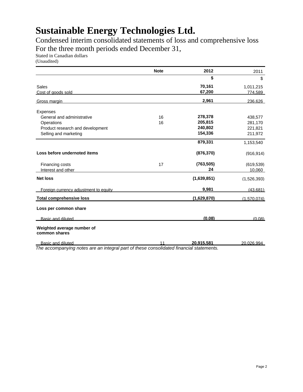Condensed interim consolidated statements of loss and comprehensive loss For the three month periods ended December 31,

Stated in Canadian dollars

(Unaudited)

|                                             | <b>Note</b> | 2012        | 2011        |
|---------------------------------------------|-------------|-------------|-------------|
|                                             |             | \$          | \$          |
| Sales                                       |             | 70,161      | 1,011,215   |
| Cost of goods sold                          |             | 67,200      | 774,589     |
| Gross margin                                |             | 2,961       | 236,626     |
| <b>Expenses</b>                             |             |             |             |
| General and administrative                  | 16          | 278,378     | 438,577     |
| Operations                                  | 16          | 205,815     | 281,170     |
| Product research and development            |             | 240,802     | 221,821     |
| Selling and marketing                       |             | 154,336     | 211,972     |
|                                             |             | 879,331     | 1,153,540   |
| Loss before undernoted items                |             | (876, 370)  | (916, 914)  |
| Financing costs                             | 17          | (763, 505)  | (619, 539)  |
| Interest and other                          |             | 24          | 10.060      |
| <b>Net loss</b>                             |             | (1,639,851) | (1,526,393) |
| Foreign currency adjustment to equity       |             | 9,981       | (43,681)    |
| <b>Total comprehensive loss</b>             |             | (1,629,870) | (1,570,074) |
| Loss per common share                       |             |             |             |
| Basic and diluted                           |             | (0.08)      | (0.08)      |
| Weighted average number of<br>common shares |             |             |             |
| Basic and diluted                           | 11          | 20.915.581  | 20.026.994  |

*The accompanying notes are an integral part of these consolidated financial statements.*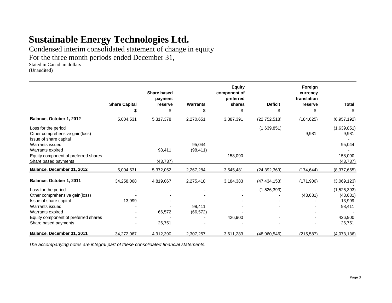Condensed interim consolidated statement of change in equity

For the three month periods ended December 31,

Stated in Canadian dollars

(Unaudited)

|                                                                                 |                      | Share based<br>payment |                 | <b>Equity</b><br>component of<br>preferred |                | Foreign<br>currency<br>translation |                      |
|---------------------------------------------------------------------------------|----------------------|------------------------|-----------------|--------------------------------------------|----------------|------------------------------------|----------------------|
|                                                                                 | <b>Share Capital</b> | reserve                | <b>Warrants</b> | shares                                     | <b>Deficit</b> | reserve                            | Total                |
|                                                                                 | \$                   | \$                     | \$              | \$                                         | \$             | \$                                 | \$                   |
| Balance, October 1, 2012                                                        | 5.004.531            | 5.317.378              | 2.270.651       | 3,387,391                                  | (22.752.518)   | (184.625)                          | (6,957,192)          |
| Loss for the period<br>Other comprehensive gain(loss)<br>Issue of share capital |                      |                        |                 |                                            | (1,639,851)    | 9,981                              | (1,639,851)<br>9,981 |
| Warrants issued                                                                 |                      |                        | 95,044          |                                            |                |                                    | 95,044               |
| Warrants expired                                                                |                      | 98,411                 | (98, 411)       |                                            |                |                                    |                      |
| Equity component of preferred shares                                            |                      |                        |                 | 158,090                                    |                |                                    | 158,090              |
| Share based payments                                                            |                      | (43.737)               |                 |                                            |                |                                    | (43.737)             |
| Balance, December 31, 2012                                                      | 5.004.531            | 5.372.052              | 2.267.284       | 3.545.481                                  | (24.392.369)   | (174.644)                          | (8.377.665)          |
| Balance, October 1, 2011                                                        | 34,258,068           | 4,819,067              | 2,275,418       | 3,184,383                                  | (47.434.153)   | (171,906)                          | (3,069,123)          |
| Loss for the period                                                             |                      |                        |                 |                                            | (1,526,393)    |                                    | (1,526,393)          |
| Other comprehensive gain(loss)                                                  |                      |                        |                 |                                            |                | (43,681)                           | (43, 681)            |
| Issue of share capital                                                          | 13,999               |                        |                 |                                            |                |                                    | 13,999               |
| Warrants issued                                                                 |                      |                        | 98,411          |                                            |                |                                    | 98,411               |
| Warrants expired                                                                |                      | 66,572                 | (66, 572)       |                                            |                |                                    |                      |
| Equity component of preferred shares                                            |                      |                        |                 | 426,900                                    |                |                                    | 426,900              |
| Share based payments                                                            |                      | 26,751                 |                 |                                            |                |                                    | 26,751               |
| Balance, December 31, 2011                                                      | 34.272.067           | 4.912.390              | 2.307.257       | 3.611.283                                  | (48.960.546)   | (215.587)                          | (4.073.136)          |

*The accompanying notes are integral part of these consolidated financial statements.*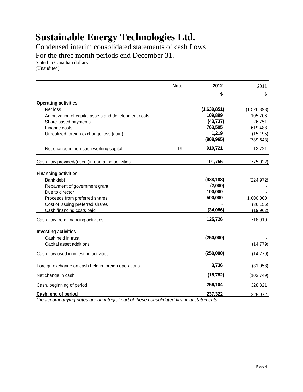Condensed interim consolidated statements of cash flows

For the three month periods end December 31,

Stated in Canadian dollars

(Unaudited)

|                                                      | <b>Note</b> | 2012        | 2011        |
|------------------------------------------------------|-------------|-------------|-------------|
|                                                      |             | \$          | \$          |
| <b>Operating activities</b>                          |             |             |             |
| Net loss                                             |             | (1,639,851) | (1,526,393) |
| Amortization of capital assets and development costs |             | 109,899     | 105,706     |
| Share-based payments                                 |             | (43, 737)   | 26,751      |
| Finance costs                                        |             | 763,505     | 619,488     |
| Unrealized foreign exchange loss (gain)              |             | 1,219       | (15, 195)   |
|                                                      |             | (808, 965)  | (789, 643)  |
| Net change in non-cash working capital               | 19          | 910,721     | 13,721      |
| Cash flow provided/(used )in operating activities    |             | 101,756     | (775, 922)  |
| <b>Financing activities</b>                          |             |             |             |
| Bank debt                                            |             | (438, 188)  | (224, 972)  |
| Repayment of government grant                        |             | (2,000)     |             |
| Due to director                                      |             | 100,000     |             |
| Proceeds from preferred shares                       |             | 500,000     | 1,000,000   |
| Cost of issuing preferred shares                     |             |             | (36, 156)   |
| Cash financing costs paid                            |             | (34, 086)   | (19, 962)   |
| Cash flow from financing activities                  |             | 125,726     | 718,910     |
| <b>Investing activities</b>                          |             |             |             |
| Cash held in trust                                   |             | (250,000)   |             |
| Capital asset additions                              |             |             | (14, 779)   |
|                                                      |             |             |             |
| Cash flow used in investing activities               |             | (250,000)   | (14, 779)   |
| Foreign exchange on cash held in foreign operations  |             | 3,736       | (31, 958)   |
| Net change in cash                                   |             | (18, 782)   | (103, 749)  |
| Cash, beginning of period                            |             | 256,104     | 328,821     |
| Cash, end of period                                  |             | 237,322     | 225,072     |

*The accompanying notes are an integral part of these consolidated financial statements*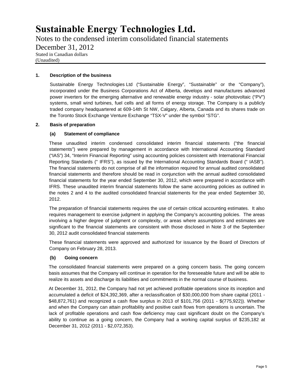Notes to the condensed interim consolidated financial statements

December 31, 2012

Stated in Canadian dollars (Unaudited)

### **1. Description of the business**

Sustainable Energy Technologies Ltd ("Sustainable Energy", "Sustainable" or the "Company"), incorporated under the Business Corporations Act of Alberta, develops and manufactures advanced power inverters for the emerging alternative and renewable energy industry - solar photovoltaic ("PV") systems, small wind turbines, fuel cells and all forms of energy storage. The Company is a publicly traded company headquartered at 609-14th St NW, Calgary, Alberta, Canada and its shares trade on the Toronto Stock Exchange Venture Exchange "TSX-V" under the symbol "STG".

#### **2. Basis of preparation**

#### **(a) Statement of compliance**

These unaudited interim condensed consolidated interim financial statements ("the financial statements") were prepared by management in accordance with International Accounting Standard ("IAS") 34, "Interim Financial Reporting" using accounting policies consistent with International Financial Reporting Standards (" IFRS"), as issued by the International Accounting Standards Board (" IASB"). The financial statements do not comprise of all the information required for annual audited consolidated financial statements and therefore should be read in conjunction with the annual audited consolidated financial statements for the year ended September 30, 2012, which were prepared in accordance with IFRS. These unaudited interim financial statements follow the same accounting policies as outlined in the notes 2 and 4 to the audited consolidated financial statements for the year ended September 30, 2012.

The preparation of financial statements requires the use of certain critical accounting estimates. It also requires management to exercise judgment in applying the Company's accounting policies. The areas involving a higher degree of judgment or complexity, or areas where assumptions and estimates are significant to the financial statements are consistent with those disclosed in Note 3 of the September 30, 2012 audit consolidated financial statements

These financial statements were approved and authorized for issuance by the Board of Directors of Company on February 28, 2013.

#### **(b) Going concern**

The consolidated financial statements were prepared on a going concern basis. The going concern basis assumes that the Company will continue in operation for the foreseeable future and will be able to realize its assets and discharge its liabilities and commitments in the normal course of business.

At December 31, 2012, the Company had not yet achieved profitable operations since its inception and accumulated a deficit of \$24,392,369, after a reclassification of \$30,000,000 from share capital (2011 - \$48,872,761) and recognized a cash flow surplus in 2013 of \$101,756 (2011 - \$(775,922)). Whether and when the Company can attain profitability and positive cash flows from operations is uncertain. The lack of profitable operations and cash flow deficiency may cast significant doubt on the Company's ability to continue as a going concern, the Company had a working capital surplus of \$235,182 at December 31, 2012 (2011 - \$2,072,353).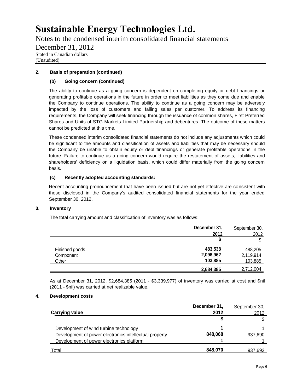Notes to the condensed interim consolidated financial statements

December 31, 2012

Stated in Canadian dollars (Unaudited)

#### **2. Basis of preparation (continued)**

#### **(b) Going concern (continued)**

The ability to continue as a going concern is dependent on completing equity or debt financings or generating profitable operations in the future in order to meet liabilities as they come due and enable the Company to continue operations. The ability to continue as a going concern may be adversely impacted by the loss of customers and falling sales per customer. To address its financing requirements, the Company will seek financing through the issuance of common shares, First Preferred Shares and Units of STG Markets Limited Partnership and debentures. The outcome of these matters cannot be predicted at this time.

These condensed interim consolidated financial statements do not include any adjustments which could be significant to the amounts and classification of assets and liabilities that may be necessary should the Company be unable to obtain equity or debt financings or generate profitable operations in the future. Failure to continue as a going concern would require the restatement of assets, liabilities and shareholders' deficiency on a liquidation basis, which could differ materially from the going concern basis.

#### **(c) Recently adopted accounting standards:**

Recent accounting pronouncement that have been issued but are not yet effective are consistent with those disclosed in the Company's audited consolidated financial statements for the year ended September 30, 2012.

#### **3. Inventory**

The total carrying amount and classification of inventory was as follows:

|                | December 31, | September 30, |
|----------------|--------------|---------------|
|                | 2012         | 2012          |
|                | \$           | \$            |
| Finished goods | 483,538      | 488,205       |
| Component      | 2,096,962    | 2,119,914     |
| <b>Other</b>   | 103,885      | 103,885       |
|                | 2,684,385    | 2,712,004     |

As at December 31, 2012, \$2,684,385 (2011 - \$3,339,977) of inventory was carried at cost and \$nil (2011 - \$nil) was carried at net realizable value.

#### **4. Development costs**

| <b>Carrying value</b>                                                                                                                         | December 31,<br>2012 | September 30,<br>2012 |
|-----------------------------------------------------------------------------------------------------------------------------------------------|----------------------|-----------------------|
|                                                                                                                                               |                      | \$                    |
| Development of wind turbine technology<br>Development of power electronics intellectual property<br>Development of power electronics platform | 848.068              | 937,690               |
| Total                                                                                                                                         | 848.070              | 937,692               |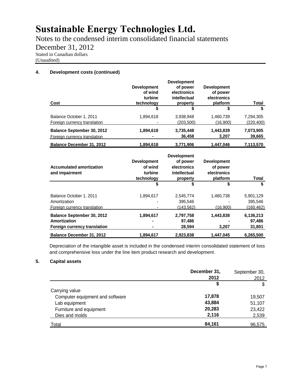Notes to the condensed interim consolidated financial statements

December 31, 2012

Stated in Canadian dollars

(Unaudited)

#### **4. Development costs (continued)**

| Cost                                                              | <b>Development</b><br>of wind<br>turbine<br>technology | <b>Development</b><br>of power<br>electronics<br>intellectual<br>property | <b>Development</b><br>of power<br>electronics<br>platform | Total                   |
|-------------------------------------------------------------------|--------------------------------------------------------|---------------------------------------------------------------------------|-----------------------------------------------------------|-------------------------|
|                                                                   | S                                                      | S                                                                         |                                                           | S                       |
| Balance October 1, 2011<br>Foreign currency translation           | 1,894,618                                              | 3.938.948<br>(203, 500)                                                   | 1,460,739<br>(16,900)                                     | 7,294,305<br>(220, 400) |
| <b>Balance September 30, 2012</b><br>Foreign currency translation | 1,894,618                                              | 3,735,448<br>36,458                                                       | 1,443,839<br>3.207                                        | 7,073,905<br>39,665     |
| <b>Balance December 31, 2012</b>                                  | 1,894,618                                              | 3.771.906                                                                 | 1.447.046                                                 | 7,113,570               |
|                                                                   |                                                        | <b>December 2004</b>                                                      |                                                           |                         |

|                                                   |                                                        | <b>Development</b>                                  |                                                           |            |
|---------------------------------------------------|--------------------------------------------------------|-----------------------------------------------------|-----------------------------------------------------------|------------|
| <b>Accumulated amortization</b><br>and impairment | <b>Development</b><br>of wind<br>turbine<br>technology | of power<br>electronics<br>intellectual<br>property | <b>Development</b><br>of power<br>electronics<br>platform | Total      |
|                                                   | S                                                      | S                                                   | S                                                         | S          |
| Balance October 1, 2011                           | 1.894.617                                              | 2,545,774                                           | 1.460.738                                                 | 5,901,129  |
| Amortization                                      |                                                        | 395.546                                             |                                                           | 395,546    |
| Foreign currency translation                      |                                                        | (143.562)                                           | (16.900)                                                  | (160, 462) |
| Balance September 30, 2012                        | 1,894,617                                              | 2,797,758                                           | 1,443,838                                                 | 6,136,213  |
| Amortization                                      |                                                        | 97,486                                              |                                                           | 97,486     |
| <b>Foreign currency translation</b>               | -                                                      | 28,594                                              | 3,207                                                     | 31,801     |
| <b>Balance December 31, 2012</b>                  | 1.894.617                                              | 2.923.838                                           | 1.447.045                                                 | 6.265.500  |

Depreciation of the intangible asset is included in the condensed interim consolidated statement of loss and comprehensive loss under the line item product research and development.

#### **5. Capital assets**

|                                 | December 31, | September 30, |
|---------------------------------|--------------|---------------|
|                                 | 2012         | 2012          |
|                                 | \$           | \$            |
| Carrying value                  |              |               |
| Computer equipment and software | 17,878       | 19.507        |
| Lab equipment                   | 43,884       | 51,107        |
| Furniture and equipment         | 20,283       | 23,422        |
| Dies and molds                  | 2,116        | 2,539         |
| Total                           | 84,161       | 96,575        |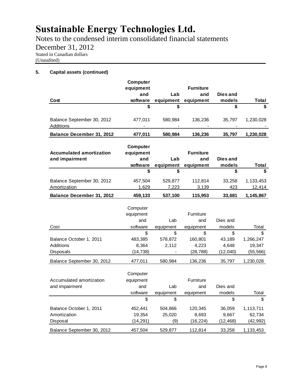Notes to the condensed interim consolidated financial statements

December 31, 2012

Stated in Canadian dollars

(Unaudited)

#### **5. Capital assets (continued)**

|                                                     | Computer                                        |                          |                                      |                                   |                                        |
|-----------------------------------------------------|-------------------------------------------------|--------------------------|--------------------------------------|-----------------------------------|----------------------------------------|
|                                                     | equipment                                       |                          | <b>Furniture</b>                     |                                   |                                        |
|                                                     | and                                             | Lab                      | and                                  | Dies and                          |                                        |
| Cost                                                | software                                        | equipment                | equipment                            | models                            | Total                                  |
|                                                     | \$                                              | \$                       |                                      | \$                                | \$                                     |
| Balance September 30, 2012<br><b>Additions</b>      | 477,011                                         | 580,984                  | 136,236                              | 35,797                            | 1,230,028                              |
| Balance December 31, 2012                           | 477,011                                         | 580,984                  | 136,236                              | 35,797                            | 1,230,028                              |
| <b>Accumulated amortization</b><br>and impairment   | <b>Computer</b><br>equipment<br>and<br>software | Lab<br>equipment         | <b>Furniture</b><br>and<br>equipment | Dies and<br>models                | Total                                  |
|                                                     | \$                                              | \$                       |                                      | \$                                | \$                                     |
| Balance September 30, 2012<br>Amortization          | 457,504<br>1,629                                | 529,877<br>7,223         | 112,814<br>3,139                     | 33,258<br>423                     | 1,133,453<br>12,414                    |
| Balance December 31, 2012                           | 459,133                                         | 537,100                  | 115,953                              | 33,681                            | 1,145,867                              |
|                                                     | Computer<br>equipment<br>and                    | Lab                      | Furniture<br>and                     | Dies and                          |                                        |
| Cost                                                | software                                        | equipment                | equipment                            | models                            | Total                                  |
| Balance October 1, 2011<br>Additions<br>Disposals   | \$<br>483,385<br>8,364<br>(14, 738)             | \$<br>578,872<br>2,112   | \$<br>160,801<br>4,223<br>(28, 788)  | \$<br>43,189<br>4,648<br>(12,040) | \$<br>1,266,247<br>19,347<br>(55, 566) |
| Balance September 30, 2012                          | 477,011                                         | 580,984                  | 136,236                              | 35,797                            | 1,230,028                              |
| Accumulated amortization<br>and impairment          | Computer<br>equipment<br>and<br>software        | Lab<br>equipment         | Furniture<br>and<br>equipment        | Dies and<br>models                | Total                                  |
|                                                     | \$                                              | \$                       |                                      | \$                                | \$                                     |
| Balance October 1, 2011<br>Amortization<br>Disposal | 452,441<br>19,354<br>(14, 291)                  | 504,866<br>25,020<br>(9) | 120,345<br>8,693<br>(16, 224)        | 36,059<br>9,667<br>(12, 468)      | 1,113,711<br>62,734<br>(42, 992)       |
| Balance September 30, 2012                          | 457,504                                         | 529,877                  | 112,814                              | 33,258                            | 1,133,453                              |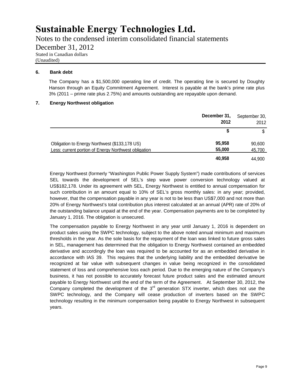Notes to the condensed interim consolidated financial statements

December 31, 2012

Stated in Canadian dollars

(Unaudited)

#### **6. Bank debt**

The Company has a \$1,500,000 operating line of credit. The operating line is secured by Doughty Hanson through an Equity Commitment Agreement. Interest is payable at the bank's prime rate plus 3% (2011 – prime rate plus 2.75%) and amounts outstanding are repayable upon demand.

#### **7. Energy Northwest obligation**

|                                                                                                       | December 31,<br>2012 | September 30,<br>2012 |
|-------------------------------------------------------------------------------------------------------|----------------------|-----------------------|
|                                                                                                       |                      |                       |
| Obligation to Energy Northwest (\$133,178 US)<br>Less: current portion of Energy Northwest obligation | 95,958<br>55,000     | 90,600<br>45,700      |
|                                                                                                       | 40,958               | 44.900                |

Energy Northwest (formerly "Washington Public Power Supply System") made contributions of services SEL towards the development of SEL's step wave power conversion technology valued at US\$182,178. Under its agreement with SEL, Energy Northwest is entitled to annual compensation for such contribution in an amount equal to 10% of SEL's gross monthly sales: in any year; provided, however, that the compensation payable in any year is not to be less than US\$7,000 and not more than 20% of Energy Northwest's total contribution plus interest calculated at an annual (APR) rate of 20% of the outstanding balance unpaid at the end of the year. Compensation payments are to be completed by January 1, 2016. The obligation is unsecured.

The compensation payable to Energy Northwest in any year until January 1, 2016 is dependent on product sales using the SWPC technology, subject to the above noted annual minimum and maximum thresholds in the year. As the sole basis for the repayment of the loan was linked to future gross sales in SEL, management has determined that the obligation to Energy Northwest contained an embedded derivative and accordingly the loan was required to be accounted for as an embedded derivative in accordance with IAS 39. This requires that the underlying liability and the embedded derivative be recognized at fair value with subsequent changes in value being recognized in the consolidated statement of loss and comprehensive loss each period. Due to the emerging nature of the Company's business, it has not possible to accurately forecast future product sales and the estimated amount payable to Energy Northwest until the end of the term of the Agreement. At September 30, 2012, the Company completed the development of the  $3<sup>rd</sup>$  generation STX inverter, which does not use the SWPC technology, and the Company will cease production of inverters based on the SWPC technology resulting in the minimum compensation being payable to Energy Northwest in subsequent years.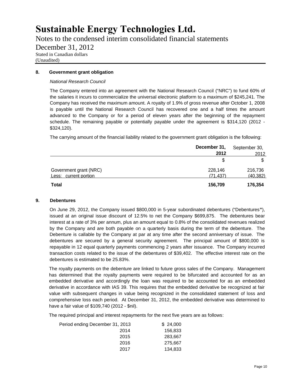Notes to the condensed interim consolidated financial statements

December 31, 2012

Stated in Canadian dollars

(Unaudited)

#### **8. Government grant obligation**

#### *National Research Council*

The Company entered into an agreement with the National Research Council ("NRC") to fund 60% of the salaries it incurs to commercialize the universal electronic platform to a maximum of \$245,241. The Company has received the maximum amount. A royalty of 1.9% of gross revenue after October 1, 2008 is payable until the National Research Council has recovered one and a half times the amount advanced to the Company or for a period of eleven years after the beginning of the repayment schedule. The remaining payable or potentially payable under the agreement is \$314,120 (2012 - \$324,120).

The carrying amount of the financial liability related to the government grant obligation is the following:

|                                                 | December 31,<br>2012 | September 30,<br>2012 |
|-------------------------------------------------|----------------------|-----------------------|
|                                                 | \$                   |                       |
| Government grant (NRC)<br>Less: current portion | 228,146<br>(71.437)  | 216,736<br>(40.382)   |
| <b>Total</b>                                    | 156,709              | 176,354               |

#### **9. Debentures**

On June 29, 2012, the Company issued \$800,000 in 5-year subordinated debentures ("Debentures**"**), issued at an original issue discount of 12.5% to net the Company \$699,875. The debentures bear interest at a rate of 3% per annum, plus an amount equal to 0.8% of the consolidated revenues realized by the Company and are both payable on a quarterly basis during the term of the debenture. The Debenture is callable by the Company at par at any time after the second anniversary of issue. The debentures are secured by a general security agreement. The principal amount of \$800,000 is repayable in 12 equal quarterly payments commencing 2 years after issuance. The Company incurred transaction costs related to the issue of the debentures of \$39,402. The effective interest rate on the debentures is estimated to be 25.83%.

The royalty payments on the debenture are linked to future gross sales of the Company. Management has determined that the royalty payments were required to be bifurcated and accounted for as an embedded derivative and accordingly the loan was required to be accounted for as an embedded derivative in accordance with IAS 39. This requires that the embedded derivative be recognized at fair value with subsequent changes in value being recognized in the consolidated statement of loss and comprehensive loss each period. At December 31, 2012, the embedded derivative was determined to have a fair value of \$109,740 (2012 - \$nil).

The required principal and interest repayments for the next five years are as follows:

| Period ending December 31, 2013 |      | \$24,000 |
|---------------------------------|------|----------|
|                                 | 2014 | 156,833  |
|                                 | 2015 | 283,667  |
|                                 | 2016 | 275.667  |
|                                 | 2017 | 134,833  |
|                                 |      |          |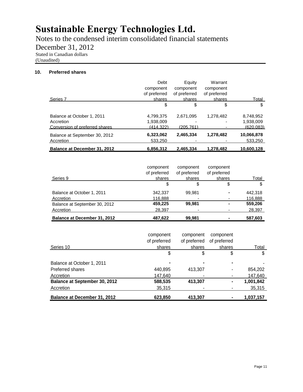Notes to the condensed interim consolidated financial statements

December 31, 2012

Stated in Canadian dollars

(Unaudited)

#### **10. Preferred shares**

| Balance at December 31, 2012   | 6,856,312    | 2.465.334    | 1.278.482    | 10,600,128 |
|--------------------------------|--------------|--------------|--------------|------------|
| Accretion                      | 533,250      |              |              | 533,250    |
| Balance at September 30, 2012  | 6,323,062    | 2,465,334    | 1,278,482    | 10,066,878 |
| Conversion of preferred shares | (414.322)    | (205.761)    |              | (620.083)  |
| Accretion                      | 1,938,009    |              |              | 1,938,009  |
| Balance at October 1, 2011     | 4,799,375    | 2,671,095    | 1,278,482    | 8,748,952  |
|                                | \$           | \$           | \$           | \$         |
| Series 7                       | shares       | shares       | shares       | Total      |
|                                | of preferred | of preferred | of preferred |            |
|                                | component    | component    | component    |            |
|                                | Debt         | Equity       | Warrant      |            |

| Series 9                            | component<br>of preferred<br>shares | component<br>of preferred<br>shares | component<br>of preferred<br>shares | <u>Total</u> |
|-------------------------------------|-------------------------------------|-------------------------------------|-------------------------------------|--------------|
|                                     | \$                                  | \$                                  | \$                                  | \$           |
| Balance at October 1, 2011          | 342.337                             | 99.981                              |                                     | 442.318      |
| Accretion                           | 116,888                             |                                     |                                     | 116,888      |
| Balance at September 30, 2012       | 459,225                             | 99,981                              |                                     | 559,206      |
| Accretion                           | 28,397                              |                                     |                                     | 28,397       |
| <b>Balance at December 31, 2012</b> | 487.622                             | 99.981                              |                                     | 587.603      |

|                                      | component      | component    | component      |              |
|--------------------------------------|----------------|--------------|----------------|--------------|
|                                      | of preferred   | of preferred | of preferred   |              |
| Series 10                            | shares         | shares       | shares         | <b>Total</b> |
|                                      | \$             |              | \$             | \$           |
| Balance at October 1, 2011           | $\blacksquare$ |              | $\blacksquare$ | -            |
| Preferred shares                     | 440.895        | 413.307      | $\blacksquare$ | 854.202      |
| Accretion                            | 147.640        |              |                | 147,640      |
| <b>Balance at September 30, 2012</b> | 588,535        | 413,307      | $\blacksquare$ | 1,001,842    |
| Accretion                            | 35,315         |              |                | 35,315       |
| <b>Balance at December 31, 2012</b>  | 623.850        | 413.307      | $\blacksquare$ | 1,037,157    |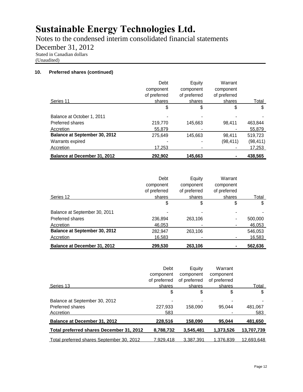Notes to the condensed interim consolidated financial statements

December 31, 2012

Stated in Canadian dollars

(Unaudited)

#### **10. Preferred shares (continued)**

| <b>Balance at December 31, 2012</b>  | 292,902      | 145,663      |              | 438,565   |
|--------------------------------------|--------------|--------------|--------------|-----------|
| Accretion                            | 17,253       |              |              | 17,253    |
| Warrants expired                     |              |              | (98,411)     | (98, 411) |
| <b>Balance at September 30, 2012</b> | 275.649      | 145.663      | 98.411       | 519,723   |
| Accretion                            | 55,879       |              |              | 55,879    |
| Preferred shares                     | 219,770      | 145.663      | 98.411       | 463,844   |
| Balance at October 1, 2011           |              |              |              |           |
|                                      | \$           | \$           | \$           | \$        |
| Series 11                            | shares       | shares       | shares       | Total     |
|                                      | of preferred | of preferred | of preferred |           |
|                                      | component    | component    | component    |           |
|                                      | Debt         | Equity       | Warrant      |           |

|                                      | Debt         | Equity       | Warrant      |         |
|--------------------------------------|--------------|--------------|--------------|---------|
|                                      | component    | component    | component    |         |
|                                      | of preferred | of preferred | of preferred |         |
| Series 12                            | shares       | shares       | shares       | Total   |
|                                      | \$           | \$           | \$           | \$      |
| Balance at September 30, 2011        |              |              |              |         |
| Preferred shares                     | 236,894      | 263,106      |              | 500,000 |
| <b>Accretion</b>                     | 46.053       |              |              | 46,053  |
| <b>Balance at September 30, 2012</b> | 282.947      | 263.106      |              | 546,053 |
| <b>Accretion</b>                     | 16,583       |              |              | 16,583  |
| <b>Balance at December 31, 2012</b>  | 299.530      | 263,106      |              | 562,636 |

| Series 13                                                      | Debt<br>component<br>of preferred<br>shares | Equity<br>component<br>of preferred<br>shares | Warrant<br>component<br>of preferred<br>shares | Total          |
|----------------------------------------------------------------|---------------------------------------------|-----------------------------------------------|------------------------------------------------|----------------|
|                                                                | \$                                          | \$                                            | \$                                             | \$             |
| Balance at September 30, 2012<br>Preferred shares<br>Accretion | 227.933<br>583                              | 158.090                                       | 95.044                                         | 481,067<br>583 |
| <b>Balance at December 31, 2012</b>                            | 228,516                                     | 158,090                                       | 95.044                                         | 481,650        |
| Total preferred shares December 31, 2012                       | 8,788,732                                   | 3,545,481                                     | 1,373,526                                      | 13,707,739     |
| Total preferred shares September 30, 2012                      | 7.929.418                                   | 3.387.391                                     | 1.376.839                                      | 12.693.648     |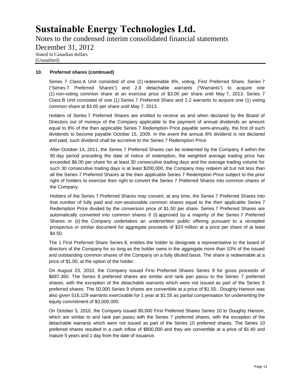Notes to the condensed interim consolidated financial statements December 31, 2012 Stated in Canadian dollars (Unaudited)

#### **10. Preferred shares (continued)**

Series 7 Class A Unit consisted of one (1) redeemable 8%, voting, First Preferred Share, Series 7 ("Series 7 Preferred Shares") and 2.8 detachable warrants ("Warrants") to acquire one (1) non-voting common share at an exercise price of \$3.00 per share until May 7, 2013. Series 7 Class B Unit consisted of one (1) Series 7 Preferred Share and 2.2 warrants to acquire one (1) voting common share at \$3.00 per share until May 7, 2013.

Holders of Series 7 Preferred Shares are entitled to receive as and when declared by the Board of Directors out of moneys of the Company applicable to the payment of annual dividends an amount equal to 8% of the then applicable Series 7 Redemption Price payable semi-annually, the first of such dividends to become payable October 15, 2009. In the event the annual 8% dividend is not declared and paid, such dividend shall be accretive to the Series 7 Redemption Price.

After October 14, 2011, the Series 7 Preferred Shares can be redeemed by the Company if within the 90 day period preceding the date of notice of redemption, the weighted average trading price has exceeded \$6.00 per share for at least 30 consecutive trading days and the average trading volume for such 30 consecutive trading days is at least \$200,000, the Company may redeem all but not less than all the Series 7 Preferred Shares at the then applicable Series 7 Redemption Price subject to the prior right of holders to exercise their right to convert the Series 7 Preferred Shares into common shares of the Company.

Holders of the Series 7 Preferred Shares may convert, at any time, the Series 7 Preferred Shares into that number of fully paid and non-assessable common shares equal to the then applicable Series 7 Redemption Price divided by the conversion price of \$1.50 per share. Series 7 Preferred Shares are automatically converted into common shares if (i) approved by a majority of the Series 7 Preferred Shares or (ii) the Company undertakes an underwritten public offering pursuant to a receipted prospectus or similar document for aggregate proceeds of \$20 million at a price per share of at least \$4.50.

The 1 First Preferred Share Series 8, entitles the holder to designate a representative to the board of directors of the Company for so long as the holder owns in the aggregate more than 10% of the issued and outstanding common shares of the Company on a fully diluted basis. The share is redeemable at a price of \$1.00, at the option of the holder.

On August 23, 2010, the Company issued First Preferred Shares Series 9 for gross proceeds of \$687,360. The Series 9 preferred shares are similar and rank pari passu to the Series 7 preferred shares, with the exception of the detachable warrants which were not issued as part of the Series 9 preferred shares. The 50,000 Series 9 shares are convertible at a price of \$1.55.. Doughty Hanson was also given 516,129 warrants exercisable for 1 year at \$1.55 as partial compensation for underwriting the equity commitment of \$3,000,000.

On October 5, 2010, the Company issued 80,000 First Preferred Shares Series 10 to Doughty Hanson, which are similar to and rank pari passu with the Series 7 preferred shares, with the exception of the detachable warrants which were not issued as part of the Series 10 preferred shares. The Series 10 preferred shares resulted in a cash inflow of \$800,000 and they are convertible at a price of \$1.40 and mature 5 years and 1 day from the date of issuance.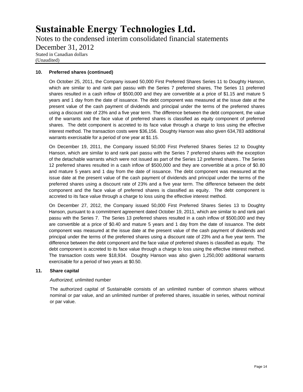Notes to the condensed interim consolidated financial statements December 31, 2012 Stated in Canadian dollars (Unaudited)

#### **10. Preferred shares (continued)**

On October 25, 2011, the Company issued 50,000 First Preferred Shares Series 11 to Doughty Hanson, which are similar to and rank pari passu with the Series 7 preferred shares, The Series 11 preferred shares resulted in a cash inflow of \$500,000 and they are convertible at a price of \$1.15 and mature 5 years and 1 day from the date of issuance. The debt component was measured at the issue date at the present value of the cash payment of dividends and principal under the terms of the preferred shares using a discount rate of 23% and a five year term. The difference between the debt component, the value of the warrants and the face value of preferred shares is classified as equity component of preferred shares. The debt component is accreted to its face value through a charge to loss using the effective interest method. The transaction costs were \$36,156. Doughty Hanson was also given 634,783 additional warrants exercisable for a period of one year at \$1.15.

On December 19, 2011, the Company issued 50,000 First Preferred Shares Series 12 to Doughty Hanson, which are similar to and rank pari passu with the Series 7 preferred shares with the exception of the detachable warrants which were not issued as part of the Series 12 preferred shares.. The Series 12 preferred shares resulted in a cash inflow of \$500,000 and they are convertible at a price of \$0.80 and mature 5 years and 1 day from the date of issuance. The debt component was measured at the issue date at the present value of the cash payment of dividends and principal under the terms of the preferred shares using a discount rate of 23% and a five year term. The difference between the debt component and the face value of preferred shares is classified as equity. The debt component is accreted to its face value through a charge to loss using the effective interest method.

On December 27, 2012, the Company issued 50,000 First Preferred Shares Series 13 to Doughty Hanson, pursuant to a commitment agreement dated October 19, 2011, which are similar to and rank pari passu with the Series 7. The Series 13 preferred shares resulted in a cash inflow of \$500,000 and they are convertible at a price of \$0.40 and mature 5 years and 1 day from the date of issuance. The debt component was measured at the issue date at the present value of the cash payment of dividends and principal under the terms of the preferred shares using a discount rate of 23% and a five year term. The difference between the debt component and the face value of preferred shares is classified as equity. The debt component is accreted to its face value through a charge to loss using the effective interest method. The transaction costs were \$18,934. Doughty Hanson was also given 1,250,000 additional warrants exercisable for a period of two years at \$0.50.

#### **11. Share capital**

#### *Authorized,* unlimited number

The authorized capital of Sustainable consists of an unlimited number of common shares without nominal or par value, and an unlimited number of preferred shares, issuable in series, without nominal or par value.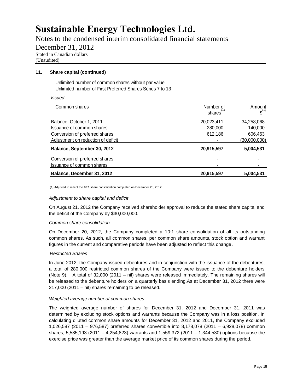Notes to the condensed interim consolidated financial statements

December 31, 2012 Stated in Canadian dollars

(Unaudited)

#### **11. Share capital (continued)**

Unlimited number of common shares without par value Unlimited number of First Preferred Shares Series 7 to 13

*Issued*

| Common shares                      | Number of<br>shares <sup>"</sup> | Amount<br>$\mathfrak{s}^{\scriptscriptstyle\cup}$ |
|------------------------------------|----------------------------------|---------------------------------------------------|
| Balance, October 1, 2011           | 20,023,411                       | 34,258,068                                        |
| Issuance of common shares          | 280,000                          | 140,000                                           |
| Conversion of preferred shares     | 612,186                          | 606,463                                           |
| Adjustment on reduction of deficit |                                  | (30,000,000)                                      |
| Balance, September 30, 2012        | 20,915,597                       | 5,004,531                                         |
| Conversion of preferred shares     |                                  |                                                   |
| Issuance of common shares          |                                  |                                                   |
| Balance, December 31, 2012         | 20,915,597                       | 5,004,531                                         |

(1) Adjusted to reflect the 10:1 share consolidation completed on December 20, 2012

#### *Adjustment to share capital and deficit*

On August 21, 2012 the Company received shareholder approval to reduce the stated share capital and the deficit of the Company by \$30,000,000.

#### *Common share consolidation*

On December 20, 2012, the Company completed a 10:1 share consolidation of all its outstanding common shares. As such, all common shares, per common share amounts, stock option and warrant figures in the current and comparative periods have been adjusted to reflect this change.

#### *Restricted Shares*

In June 2012, the Company issued debentures and in conjunction with the issuance of the debentures, a total of 280,000 restricted common shares of the Company were issued to the debenture holders (Note 9). A total of  $32,000$  (2011 – nil) shares were released immediately. The remaining shares will be released to the debenture holders on a quarterly basis ending.As at December 31, 2012 there were 217,000 (2011 – nil) shares remaining to be released.

#### *Weighted average number of common shares*

The weighted average number of shares for December 31, 2012 and December 31, 2011 was determined by excluding stock options and warrants because the Company was in a loss position. In calculating diluted common share amounts for December 31, 2012 and 2011, the Company excluded 1,026,587 (2011 – 976,587) preferred shares convertible into 8,178,078 (2011 – 6,928,078) common shares, 5,585,193 (2011 – 4,254,823) warrants and 1,559,372 (2011 – 1,344,530) options because the exercise price was greater than the average market price of its common shares during the period.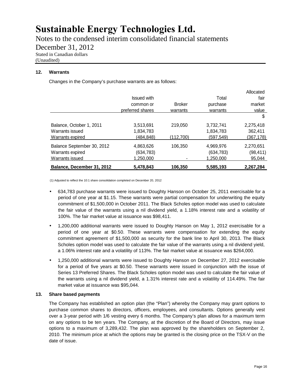Notes to the condensed interim consolidated financial statements

December 31, 2012

Stated in Canadian dollars

(Unaudited)

#### **12. Warrants**

Changes in the Company's purchase warrants are as follows:

|                            |                    |               |           | Allocated  |
|----------------------------|--------------------|---------------|-----------|------------|
|                            | <b>Issued with</b> |               | Total     | fair       |
|                            | common or          | <b>Broker</b> | purchase  | market     |
|                            | preferred shares   | warrants      | warrants  | value      |
|                            |                    |               |           | \$         |
| Balance, October 1, 2011   | 3,513,691          | 219.050       | 3,732,741 | 2,275,418  |
| Warrants issued            | 1,834,783          |               | 1,834,783 | 362.411    |
| Warrants expired           | (484.848)          | (112,700)     | (597,549) | (367, 178) |
| Balance September 30, 2012 | 4,863,626          | 106.350       | 4,969,976 | 2,270,651  |
| Warrants expired           | (634, 783)         |               | (634,783) | (98, 411)  |
| Warrants issued            | 1,250,000          |               | 1,250,000 | 95,044     |
| Balance, December 31, 2012 | 5,478,843          | 106,350       | 5,585,193 | 2,267,284  |

(1) Adjusted to reflect the 10:1 share consolidation completed on December 20, 2012

- 634,783 purchase warrants were issued to Doughty Hanson on October 25, 2011 exercisable for a period of one year at \$1.15. These warrants were partial compensation for underwriting the equity commitment of \$1,500,000 in October 2011. The Black Scholes option model was used to calculate the fair value of the warrants using a nil dividend yield, a 1.18% interest rate and a volatility of 100%. The fair market value at issuance was \$98,411.
- 1,200,000 additional warrants were issued to Doughty Hanson on May 1, 2012 exercisable for a period of one year at \$0.50. These warrants were compensation for extending the equity commitment agreement of \$1,500,000 as security for the bank line to April 30, 2013. The Black Scholes option model was used to calculate the fair value of the warrants using a nil dividend yield, a 1.06% interest rate and a volatility of 113%. The fair market value at issuance was \$264,000.
- 1,250,000 additional warrants were issued to Doughty Hanson on December 27, 2012 exercisable for a period of five years at \$0.50. These warrants were issued in conjunction with the issue of Series 13 Preferred Shares. The Black Scholes option model was used to calculate the fair value of the warrants using a nil dividend yield, a 1.31% interest rate and a volatility of 114.49%. The fair market value at issuance was \$95,044.

#### **13. Share based payments**

The Company has established an option plan (the "Plan") whereby the Company may grant options to purchase common shares to directors, officers, employees, and consultants. Options generally vest over a 3-year period with 1/6 vesting every 6 months. The Company's plan allows for a maximum term on any options to be ten years. The Company, at the discretion of the Board of Directors, may issue options to a maximum of 3,289,432. The plan was approved by the shareholders on September 2, 2010. The minimum price at which the options may be granted is the closing price on the TSX-V on the date of issue.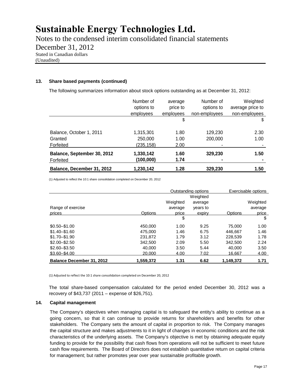Notes to the condensed interim consolidated financial statements

December 31, 2012

Stated in Canadian dollars

(Unaudited)

#### **13. Share based payments (continued)**

The following summarizes information about stock options outstanding as at December 31, 2012:

|                             | Number of  | average   | Number of     | Weighted         |
|-----------------------------|------------|-----------|---------------|------------------|
|                             | options to | price to  | options to    | average price to |
|                             | employees  | employees | non-employees | non-employees    |
|                             |            | \$        |               | \$               |
| Balance, October 1, 2011    | 1,315,301  | 1.80      | 129.230       | 2.30             |
| Granted                     | 250,000    | 1.00      | 200,000       | 1.00             |
| Forfeited                   | (235,158)  | 2.00      |               |                  |
| Balance, September 30, 2012 | 1,330,142  | 1.60      | 329,230       | 1.50             |
| Forfeited                   | (100, 000) | 1.74      | -             |                  |
| Balance, December 31, 2012  | 1,230,142  | 1.28      | 329,230       | 1.50             |

(1) Adjusted to reflect the 10:1 share consolidation completed on December 20, 2012

|                                  |           |          | Outstanding options |           | Exercisable options |
|----------------------------------|-----------|----------|---------------------|-----------|---------------------|
|                                  |           |          | Weighted            |           |                     |
|                                  |           | Weighted | average             |           | Weighted            |
| Range of exercise                |           | average  | years to            |           | average             |
| prices                           | Options   | price    | expiry              | Options   | price               |
|                                  |           | \$       |                     |           | \$                  |
| $$0.50 - $1.00$                  | 450.000   | 1.00     | 9.25                | 75,000    | 1.00                |
| $$1.40 - $1.60$                  | 475.000   | 1.46     | 6.75                | 446.667   | 1.46                |
| $$1.70 - $1.90$                  | 231.872   | 1.79     | 3.12                | 228.539   | 1.78                |
| $$2.00 - $2.50$                  | 342,500   | 2.09     | 5.50                | 342,500   | 2.24                |
| $$2.60 - $3.50$                  | 40.000    | 3.50     | 5.44                | 40.000    | 3.50                |
| $$3.60 - $4.00$                  | 20,000    | 4.00     | 7.02                | 16,667    | 4.00                |
| <b>Balance December 31, 2012</b> | 1,559,372 | 1.31     | 6.62                | 1,149,372 | 1.71                |

(1) Adjusted to reflect the 10:1 share consolidation completed on December 20, 2012

The total share-based compensation calculated for the period ended December 30, 2012 was a recovery of \$43,737 (2011 – expense of \$26,751).

#### **14. Capital management**

The Company's objectives when managing capital is to safeguard the entity's ability to continue as a going concern, so that it can continue to provide returns for shareholders and benefits for other stakeholders. The Company sets the amount of capital in proportion to risk. The Company manages the capital structure and makes adjustments to it in light of changes in economic conditions and the risk characteristics of the underlying assets. The Company's objective is met by obtaining adequate equity funding to provide for the possibility that cash flows from operations will not be sufficient to meet future cash flow requirements. The Board of Directors does not establish quantitative return on capital criteria for management; but rather promotes year over year sustainable profitable growth.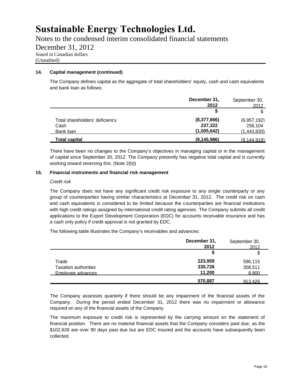Notes to the condensed interim consolidated financial statements

December 31, 2012

Stated in Canadian dollars

(Unaudited)

#### **14. Capital management (continued)**

The Company defines capital as the aggregate of total shareholders' equity, cash and cash equivalents and bank loan as follows:

|                                                     | December 31,<br>2012                  | September 30,<br>2012                        |
|-----------------------------------------------------|---------------------------------------|----------------------------------------------|
|                                                     |                                       | \$                                           |
| Total shareholders' deficiency<br>Cash<br>Bank loan | (8,377,666)<br>237,322<br>(1,005,642) | (6.957.192)<br>256.104<br><u>(1,443,830)</u> |
| <b>Total capital</b>                                | (9, 145, 986)                         | (8.144.918)                                  |

There have been no changes to the Company's objectives in managing capital or in the management of capital since September 30, 2012. The Company presently has negative total capital and is currently working toward reversing this. (Note 2(b))

#### **15. Financial instruments and financial risk management**

#### *Credit risk*

The Company does not have any significant credit risk exposure to any single counterparty or any group of counterparties having similar characteristics at December 31, 2012. The credit risk on cash and cash equivalents is considered to be limited because the counterparties are financial institutions with high credit ratings assigned by international credit rating agencies. The Company submits all credit applications to the Export Development Corporation (EDC) for accounts receivable insurance and has a cash only policy if credit approval is not granted by EDC.

The following table illustrates the Company's receivables and advances:

|                             | December 31,<br>2012 | September 30.<br>2012 |
|-----------------------------|----------------------|-----------------------|
|                             |                      | \$                    |
| Trade                       | 223,959              | 596,115               |
| <b>Taxation authorities</b> | 335,728              | 308,511               |
| Emplovee advances           | 11,200               | 8.800                 |
|                             | 570,887              | 913.426               |

The Company assesses quarterly if there should be any impairment of the financial assets of the Company. During the period ended December 31, 2012 there was no impairment or allowance required on any of the financial assets of the Company.

The maximum exposure to credit risk is represented by the carrying amount on the statement of financial position. There are no material financial assets that the Company considers past due, as the \$102,626 are over 90 days past due but are EDC insured and the accounts have subsequently been collected.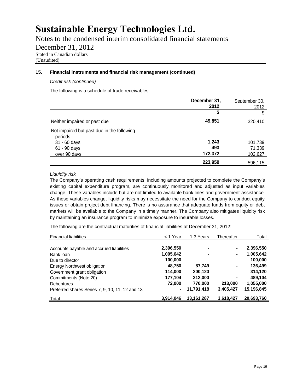Notes to the condensed interim consolidated financial statements

December 31, 2012

Stated in Canadian dollars

(Unaudited)

#### **15. Financial instruments and financial risk management (continued)**

*Credit risk (continued)*

The following is a schedule of trade receivables:

|                                                       | December 31,<br>2012 | September 30,<br>2012 |
|-------------------------------------------------------|----------------------|-----------------------|
|                                                       | \$                   | \$                    |
| Neither impaired or past due                          | 49,851               | 320.410               |
| Not impaired but past due in the following<br>periods |                      |                       |
| $31 - 60$ days                                        | 1,243                | 101,739               |
| 61 - 90 days                                          | 493                  | 71,339                |
| over 90 days                                          | 172,372              | <u> 102.627 </u>      |
|                                                       | 223,959              | 596.115               |

#### *Liquidity risk*

The Company's operating cash requirements, including amounts projected to complete the Company's existing capital expenditure program, are continuously monitored and adjusted as input variables change. These variables include but are not limited to available bank lines and government assistance. As these variables change, liquidity risks may necessitate the need for the Company to conduct equity issues or obtain project debt financing. There is no assurance that adequate funds from equity or debt markets will be available to the Company in a timely manner. The Company also mitigates liquidity risk by maintaining an insurance program to minimize exposure to insurable losses.

The following are the contractual maturities of financial liabilities at December 31, 2012:

| <b>Financial liabilities</b>                    | < 1 Year  | 1-3 Years    | Thereafter | Total      |
|-------------------------------------------------|-----------|--------------|------------|------------|
| Accounts payable and accrued liabilities        | 2,396,550 | ۰            | ۰          | 2,396,550  |
| Bank loan                                       | 1,005,642 | ۰            | ۰          | 1,005,642  |
| Due to director                                 | 100,000   |              |            | 100,000    |
| Energy Northwest obligation                     | 48,750    | 87,749       | ۰          | 136,499    |
| Government grant obligation                     | 114,000   | 200,120      |            | 314,120    |
| Commitments (Note 20)                           | 177,104   | 312,000      | ٠          | 489,104    |
| <b>Debentures</b>                               | 72,000    | 770,000      | 213,000    | 1,055,000  |
| Preferred shares Series 7, 9, 10, 11, 12 and 13 | ٠         | 11,791,418   | 3,405,427  | 15,196,845 |
| <u>Total</u>                                    | 3,914,046 | 13, 161, 287 | 3,618,427  | 20,693,760 |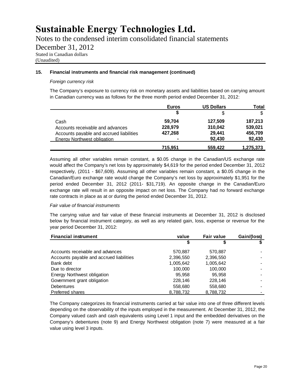Notes to the condensed interim consolidated financial statements

December 31, 2012

Stated in Canadian dollars

(Unaudited)

#### **15. Financial instruments and financial risk management (continued)**

#### *Foreign currency risk*

The Company's exposure to currency risk on monetary assets and liabilities based on carrying amount in Canadian currency was as follows for the three month period ended December 31, 2012:

|                                          | <b>Euros</b>             | <b>US Dollars</b> | Total     |
|------------------------------------------|--------------------------|-------------------|-----------|
|                                          |                          | \$                | \$        |
| Cash                                     | 59.704                   | 127,509           | 187,213   |
| Accounts receivable and advances         | 228,979                  | 310,042           | 539,021   |
| Accounts payable and accrued liabilities | 427,268                  | 29,441            | 456,709   |
| <b>Energy Northwest obligation</b>       | $\overline{\phantom{0}}$ | 92.430            | 92,430    |
|                                          | 715.951                  | 559,422           | 1,275,373 |

Assuming all other variables remain constant, a \$0.05 change in the Canadian/US exchange rate would affect the Company's net loss by approximately \$4,619 for the period ended December 31, 2012 respectively, (2011 - \$67,609). Assuming all other variables remain constant, a \$0.05 change in the Canadian/Euro exchange rate would change the Company's net loss by approximately \$1,951 for the period ended December 31, 2012 (2011- \$31,719). An opposite change in the Canadian/Euro exchange rate will result in an opposite impact on net loss. The Company had no forward exchange rate contracts in place as at or during the period ended December 31, 2012.

#### *Fair value of financial instruments*

The carrying value and fair value of these financial instruments at December 31, 2012 is disclosed below by financial instrument category, as well as any related gain, loss, expense or revenue for the year period December 31, 2012:

| <b>Financial instrument</b>              | value     | <b>Fair value</b> | Gain/(loss) |
|------------------------------------------|-----------|-------------------|-------------|
|                                          | \$        |                   |             |
| Accounts receivable and advances         | 570,887   | 570,887           |             |
| Accounts payable and accrued liabilities | 2,396,550 | 2,396,550         |             |
| Bank debt                                | 1,005,642 | 1,005,642         |             |
| Due to director                          | 100,000   | 100,000           |             |
| Energy Northwest obligation              | 95,958    | 95.958            |             |
| Government grant obligation              | 228,146   | 228,146           |             |
| <b>Debentures</b>                        | 558,680   | 558,680           |             |
| <b>Preferred shares</b>                  | 8,788,732 | 8,788,732         |             |

The Company categorizes its financial instruments carried at fair value into one of three different levels depending on the observability of the inputs employed in the measurement. At December 31, 2012, the Company valued cash and cash equivalents using Level 1 input and the embedded derivatives on the Company's debentures (note 9) and Energy Northwest obligation (note 7) were measured at a fair value using level 3 inputs.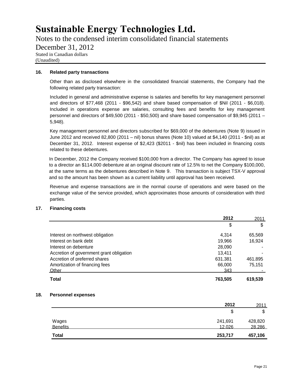Notes to the condensed interim consolidated financial statements

December 31, 2012

Stated in Canadian dollars

(Unaudited)

#### **16. Related party transactions**

Other than as disclosed elsewhere in the consolidated financial statements, the Company had the following related party transaction:

Included in general and administrative expense is salaries and benefits for key management personnel and directors of \$77,468 (2011 - \$96,542) and share based compensation of \$Nil (2011 - \$6,018). Included in operations expense are salaries, consulting fees and benefits for key management personnel and directors of \$49,500 (2011 - \$50,500) and share based compensation of \$9,945 (2011 – 5,948).

Key management personnel and directors subscribed for \$69,000 of the debentures (Note 9) issued in June 2012 and received 82,800 (2011 – nil) bonus shares (Note 10) valued at \$4,140 (2011 - \$nil) as at December 31, 2012. Interest expense of \$2,423 (\$2011 - \$nil) has been included in financing costs related to these debentures.

In December, 2012 the Company received \$100,000 from a director. The Company has agreed to issue to a director an \$114,000 debenture at an original discount rate of 12.5% to net the Company \$100,000, at the same terms as the debentures described in Note 9. This transaction is subject TSX-V approval and so the amount has been shown as a current liability until approval has been received.

Revenue and expense transactions are in the normal course of operations and were based on the exchange value of the service provided, which approximates those amounts of consideration with third parties.

#### **17. Financing costs**

|                                          | 2012    | 2011    |
|------------------------------------------|---------|---------|
|                                          | \$      | \$      |
| Interest on northwest obligation         | 4.314   | 65,569  |
| Interest on bank debt                    | 19,966  | 16,924  |
| Interest on debenture                    | 28,090  |         |
| Accretion of government grant obligation | 13.411  |         |
| Accretion of preferred shares            | 631.381 | 461.895 |
| Amortization of financing fees           | 66,000  | 75,151  |
| Other                                    | 343     |         |
| Total                                    | 763,505 | 619,539 |

#### **18. Personnel expenses**

|                   | 2012    | 2011    |
|-------------------|---------|---------|
|                   | \$      | \$      |
|                   | 241,691 | 428,820 |
| Wages<br>Benefits | 12.026  | 28.286  |
| <b>Total</b>      | 253,717 | 457,106 |
|                   |         |         |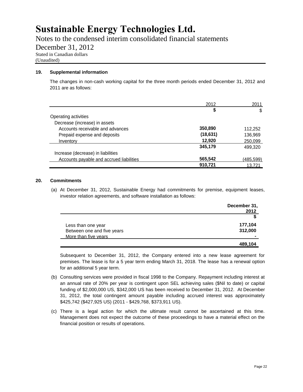Notes to the condensed interim consolidated financial statements

December 31, 2012

Stated in Canadian dollars

(Unaudited)

#### **19. Supplemental information**

The changes in non-cash working capital for the three month periods ended December 31, 2012 and 2011 are as follows:

|                                          | 2012      | 2011             |
|------------------------------------------|-----------|------------------|
|                                          | S         | \$               |
| Operating activities                     |           |                  |
| Decrease (increase) in assets            |           |                  |
| Accounts receivable and advances         | 350,890   | 112,252          |
| Prepaid expense and deposits             | (18, 631) | 136,969          |
| Inventory                                | 12,920    | 250,099          |
|                                          | 345,179   | 499.320          |
| Increase (decrease) in liabilities       |           |                  |
| Accounts payable and accrued liabilities | 565,542   | <u>(485,599)</u> |
|                                          | 910,721   | 13.721           |

#### **20. Commitments**

(a) At December 31, 2012, Sustainable Energy had commitments for premise, equipment leases, investor relation agreements, and software installation as follows:

|                            | December 31,<br>2012 |
|----------------------------|----------------------|
|                            |                      |
| Less than one year         | 177,104              |
| Between one and five years | 312,000              |
| More than five years       |                      |
|                            | 489,104              |

Subsequent to December 31, 2012, the Company entered into a new lease agreement for premises. The lease is for a 5 year term ending March 31, 2018. The lease has a renewal option for an additional 5 year term.

- (b) Consulting services were provided in fiscal 1998 to the Company. Repayment including interest at an annual rate of 20% per year is contingent upon SEL achieving sales (\$Nil to date) or capital funding of \$2,000,000 US, \$342,000 US has been received to December 31, 2012. At December 31, 2012, the total contingent amount payable including accrued interest was approximately \$425,742 (\$427,925 US) (2011 - \$429,768, \$373,911 US).
- (c) There is a legal action for which the ultimate result cannot be ascertained at this time. Management does not expect the outcome of these proceedings to have a material effect on the financial position or results of operations.